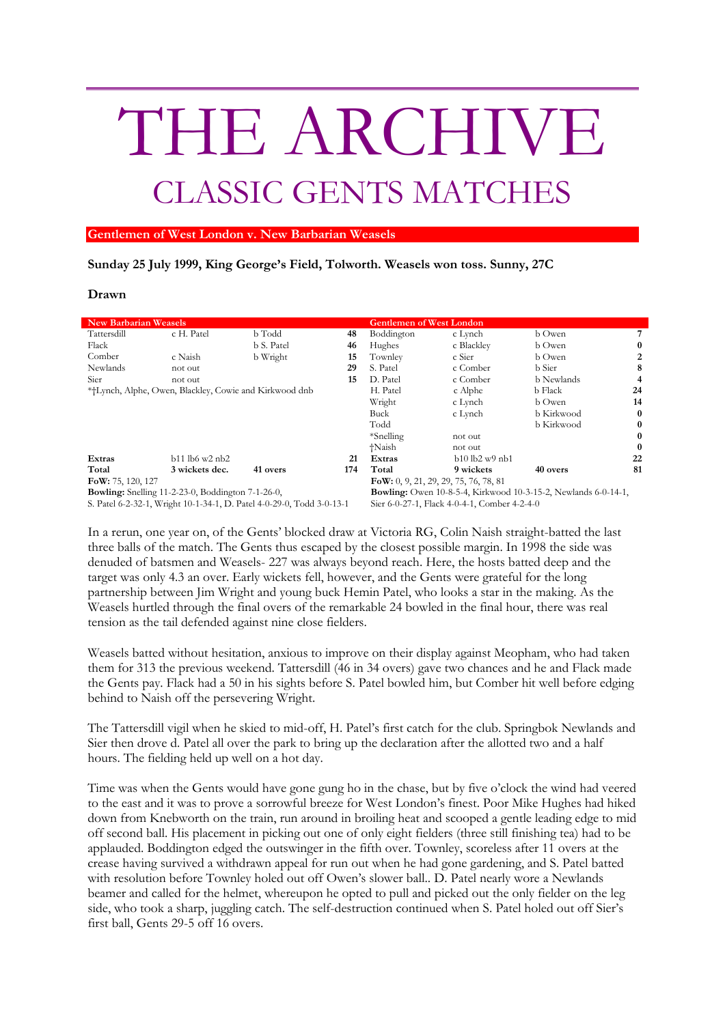# THE ARCHIVE CLASSIC GENTS MATCHES

#### **Gentlemen of West London v. New Barbarian Weasels**

**Sunday 25 July 1999, King George's Field, Tolworth. Weasels won toss. Sunny, 27C**

#### **Drawn**

| <b>New Barbarian Weasels</b>                                          |                  |            |     | Gentlemen of West London                                              |                  |                   |          |
|-----------------------------------------------------------------------|------------------|------------|-----|-----------------------------------------------------------------------|------------------|-------------------|----------|
| Tattersdill                                                           | c H. Patel       | b Todd     | 48  | Boddington                                                            | c Lynch          | b Owen            | 7        |
| Flack                                                                 |                  | b S. Patel | 46  | Hughes                                                                | c Blackley       | b Owen            | $\bf{0}$ |
| Comber                                                                | c Naish          | b Wright   | 15  | Townley                                                               | c Sier           | b Owen            | 2        |
| <b>Newlands</b>                                                       | not out          |            | 29  | S. Patel                                                              | c Comber         | b Sier            | 8        |
| Sier                                                                  | not out          |            | 15  | D. Patel                                                              | c Comber         | <b>b</b> Newlands | 4        |
| *+Lynch, Alphe, Owen, Blackley, Cowie and Kirkwood dnb                |                  |            |     | H. Patel                                                              | c Alphe          | <b>b</b> Flack    | 24       |
|                                                                       |                  |            |     | Wright                                                                | c Lynch          | b Owen            | 14       |
|                                                                       |                  |            |     | Buck                                                                  | c Lynch          | b Kirkwood        | $\bf{0}$ |
|                                                                       |                  |            |     | Todd                                                                  |                  | b Kirkwood        | $\bf{0}$ |
|                                                                       |                  |            |     | *Snelling                                                             | not out          |                   | $\bf{0}$ |
|                                                                       |                  |            |     | †Naish                                                                | not out          |                   | $\bf{0}$ |
| Extras                                                                | $b11$ lb6 w2 nb2 |            | 21  | Extras                                                                | $b10$ lb2 w9 nb1 |                   | 22       |
| Total                                                                 | 3 wickets dec.   | 41 overs   | 174 | Total                                                                 | 9 wickets        | 40 overs          | 81       |
| FoW: 75, 120, 127                                                     |                  |            |     | $\textbf{FoW: } 0, 9, 21, 29, 29, 75, 76, 78, 81$                     |                  |                   |          |
| <b>Bowling:</b> Snelling 11-2-23-0, Boddington 7-1-26-0,              |                  |            |     | <b>Bowling:</b> Owen 10-8-5-4, Kirkwood 10-3-15-2, Newlands 6-0-14-1, |                  |                   |          |
| S. Patel 6-2-32-1, Wright 10-1-34-1, D. Patel 4-0-29-0, Todd 3-0-13-1 |                  |            |     | Sier 6-0-27-1, Flack 4-0-4-1, Comber 4-2-4-0                          |                  |                   |          |

In a rerun, one year on, of the Gents' blocked draw at Victoria RG, Colin Naish straight-batted the last three balls of the match. The Gents thus escaped by the closest possible margin. In 1998 the side was denuded of batsmen and Weasels- 227 was always beyond reach. Here, the hosts batted deep and the target was only 4.3 an over. Early wickets fell, however, and the Gents were grateful for the long partnership between Jim Wright and young buck Hemin Patel, who looks a star in the making. As the Weasels hurtled through the final overs of the remarkable 24 bowled in the final hour, there was real tension as the tail defended against nine close fielders.

Weasels batted without hesitation, anxious to improve on their display against Meopham, who had taken them for 313 the previous weekend. Tattersdill (46 in 34 overs) gave two chances and he and Flack made the Gents pay. Flack had a 50 in his sights before S. Patel bowled him, but Comber hit well before edging behind to Naish off the persevering Wright.

The Tattersdill vigil when he skied to mid-off, H. Patel's first catch for the club. Springbok Newlands and Sier then drove d. Patel all over the park to bring up the declaration after the allotted two and a half hours. The fielding held up well on a hot day.

Time was when the Gents would have gone gung ho in the chase, but by five o'clock the wind had veered to the east and it was to prove a sorrowful breeze for West London's finest. Poor Mike Hughes had hiked down from Knebworth on the train, run around in broiling heat and scooped a gentle leading edge to mid off second ball. His placement in picking out one of only eight fielders (three still finishing tea) had to be applauded. Boddington edged the outswinger in the fifth over. Townley, scoreless after 11 overs at the crease having survived a withdrawn appeal for run out when he had gone gardening, and S. Patel batted with resolution before Townley holed out off Owen's slower ball.. D. Patel nearly wore a Newlands beamer and called for the helmet, whereupon he opted to pull and picked out the only fielder on the leg side, who took a sharp, juggling catch. The self-destruction continued when S. Patel holed out off Sier's first ball, Gents 29-5 off 16 overs.